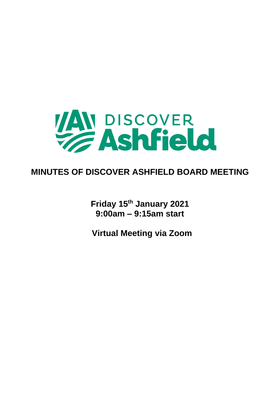

## **MINUTES OF DISCOVER ASHFIELD BOARD MEETING**

**Friday 15th January 2021 9:00am – 9:15am start**

**Virtual Meeting via Zoom**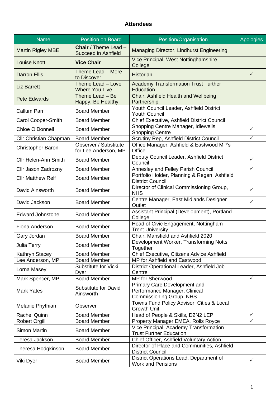## **Attendees**

| <b>Name</b>                 | Position on Board                                         | Position/Organisation                                                                     | <b>Apologies</b> |
|-----------------------------|-----------------------------------------------------------|-------------------------------------------------------------------------------------------|------------------|
| <b>Martin Rigley MBE</b>    | <b>Chair</b> / Theme Lead -<br><b>Succeed in Ashfield</b> | Managing Director, Lindhurst Engineering                                                  |                  |
| <b>Louise Knott</b>         | <b>Vice Chair</b>                                         | Vice Principal, West Nottinghamshire<br>College                                           |                  |
| <b>Darron Ellis</b>         | Theme Lead - More<br>to Discover                          | <b>Historian</b>                                                                          | $\checkmark$     |
| <b>Liz Barrett</b>          | Theme Lead - Love<br><b>Where You Live</b>                | <b>Academy Transformation Trust Further</b><br>Education                                  |                  |
| <b>Pete Edwards</b>         | Theme Lead - Be<br>Happy, Be Healthy                      | Chair, Ashfield Health and Wellbeing<br>Partnership                                       |                  |
| <b>Callum Parr</b>          | <b>Board Member</b>                                       | Youth Council Leader, Ashfield District<br><b>Youth Council</b>                           |                  |
| Carol Cooper-Smith          | <b>Board Member</b>                                       | Chief Executive, Ashfield District Council                                                |                  |
| Chloe O'Donnell             | <b>Board Member</b>                                       | Shopping Centre Manager, Idlewells<br><b>Shopping Centre</b>                              | $\checkmark$     |
| Cllr Christian Chapman      | <b>Board Member</b>                                       | Scrutiny Rep, Ashfield District Council                                                   | $\checkmark$     |
|                             | <b>Observer / Substitute</b>                              | Office Manager, Ashfield & Eastwood MP's                                                  |                  |
| <b>Christopher Baron</b>    | for Lee Anderson, MP                                      | Office                                                                                    |                  |
| <b>Cllr Helen-Ann Smith</b> | <b>Board Member</b>                                       | Deputy Council Leader, Ashfield District<br>Council                                       | $\checkmark$     |
| Cllr Jason Zadrozny         | <b>Board Member</b>                                       | Annesley and Felley Parish Council                                                        | $\checkmark$     |
| <b>Cllr Matthew Relf</b>    | <b>Board Member</b>                                       | Portfolio Holder, Planning & Regen, Ashfield<br><b>District Council</b>                   |                  |
| David Ainsworth             | <b>Board Member</b>                                       | Director of Clinical Commissioning Group,<br><b>NHS</b>                                   | ✓                |
| David Jackson               | <b>Board Member</b>                                       | Centre Manager, East Midlands Designer<br>Outlet                                          | ✓                |
| <b>Edward Johnstone</b>     | <b>Board Member</b>                                       | Assistant Principal (Development), Portland<br>College                                    |                  |
| Fiona Anderson              | <b>Board Member</b>                                       | Head of Civic Engagement, Nottingham<br><b>Trent University</b>                           |                  |
| Gary Jordan                 | <b>Board Member</b>                                       | Chair, Mansfield and Ashfield 2020                                                        |                  |
| Julia Terry                 | <b>Board Member</b>                                       | Development Worker, Transforming Notts<br>Together                                        |                  |
| Kathryn Stacey              | <b>Board Member</b>                                       | Chief Executive, Citizens Advice Ashfield                                                 |                  |
| Lee Anderson, MP            | <b>Board Member</b>                                       | MP for Ashfield and Eastwood                                                              |                  |
| Lorna Masey                 | Substitute for Vicki<br>Dyer                              | District Operational Leader, Ashfield Job<br>Centre                                       |                  |
| Mark Spencer, MP            | <b>Board Member</b>                                       | MP for Sherwood                                                                           | ✓                |
| <b>Mark Yates</b>           | <b>Substitute for David</b><br>Ainsworth                  | Primary Care Development and<br>Performance Manager, Clinical<br>Commissioning Group, NHS |                  |
| Melanie Phythian            | Observer                                                  | Towns Fund Policy Advisor, Cities & Local<br><b>Growth Unit</b>                           |                  |
| <b>Rachel Quinn</b>         | <b>Board Member</b>                                       | Head of People & Skills, D2N2 LEP                                                         | ✓                |
| <b>Robert Orgill</b>        | <b>Board Member</b>                                       | Property Manager EMEA, Rolls Royce                                                        | $\checkmark$     |
| <b>Simon Martin</b>         | <b>Board Member</b>                                       | Vice Principal, Academy Transformation<br><b>Trust Further Education</b>                  |                  |
| Teresa Jackson              | <b>Board Member</b>                                       | Chief Officer, Ashfield Voluntary Action                                                  |                  |
| Theresa Hodgkinson          | <b>Board Member</b>                                       | Director of Place and Communities, Ashfield<br><b>District Council</b>                    |                  |
| Viki Dyer                   | <b>Board Member</b>                                       | District Operations Lead, Department of<br><b>Work and Pensions</b>                       | ✓                |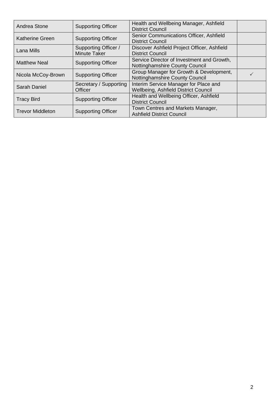| Andrea Stone                                         | Health and Wellbeing Manager, Ashfield<br><b>Supporting Officer</b><br><b>District Council</b> |                                                                               |  |
|------------------------------------------------------|------------------------------------------------------------------------------------------------|-------------------------------------------------------------------------------|--|
| <b>Katherine Green</b>                               | <b>Supporting Officer</b>                                                                      | Senior Communications Officer, Ashfield<br><b>District Council</b>            |  |
| Lana Mills                                           | Supporting Officer /<br><b>Minute Taker</b>                                                    | Discover Ashfield Project Officer, Ashfield<br><b>District Council</b>        |  |
| <b>Matthew Neal</b><br><b>Supporting Officer</b>     |                                                                                                | Service Director of Investment and Growth,<br>Nottinghamshire County Council  |  |
| Nicola McCoy-Brown                                   | <b>Supporting Officer</b>                                                                      | Group Manager for Growth & Development,<br>Nottinghamshire County Council     |  |
| <b>Sarah Daniel</b>                                  | Secretary / Supporting<br>Officer                                                              | Interim Service Manager for Place and<br>Wellbeing, Ashfield District Council |  |
| <b>Tracy Bird</b>                                    | <b>Supporting Officer</b>                                                                      | Health and Wellbeing Officer, Ashfield<br><b>District Council</b>             |  |
| <b>Trevor Middleton</b><br><b>Supporting Officer</b> |                                                                                                | Town Centres and Markets Manager,<br><b>Ashfield District Council</b>         |  |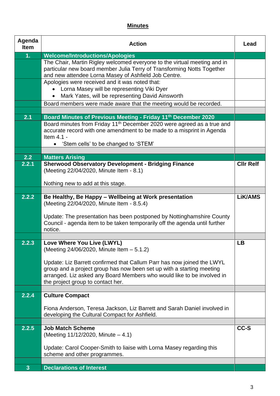## **Minutes**

| Agenda<br><b>Item</b> | <b>Action</b>                                                                                                                                                                                                                                                                      | Lead             |
|-----------------------|------------------------------------------------------------------------------------------------------------------------------------------------------------------------------------------------------------------------------------------------------------------------------------|------------------|
| 1.                    | <b>Welcome/Introductions/Apologies</b>                                                                                                                                                                                                                                             |                  |
|                       | The Chair, Martin Rigley welcomed everyone to the virtual meeting and in<br>particular new board member Julia Terry of Transforming Notts Together<br>and new attendee Lorna Masey of Ashfield Job Centre.                                                                         |                  |
|                       | Apologies were received and it was noted that:<br>Lorna Masey will be representing Viki Dyer<br>Mark Yates, will be representing David Ainsworth                                                                                                                                   |                  |
|                       | Board members were made aware that the meeting would be recorded.                                                                                                                                                                                                                  |                  |
|                       |                                                                                                                                                                                                                                                                                    |                  |
| 2.1                   | Board Minutes of Previous Meeting - Friday 11th December 2020<br>Board minutes from Friday 11 <sup>th</sup> December 2020 were agreed as a true and<br>accurate record with one amendment to be made to a misprint in Agenda<br>Item 4.1 -<br>'Stem cells' to be changed to 'STEM' |                  |
|                       |                                                                                                                                                                                                                                                                                    |                  |
| 2.2<br>2.2.1          | <b>Matters Arising</b><br><b>Sherwood Observatory Development - Bridging Finance</b>                                                                                                                                                                                               | <b>CIIr Relf</b> |
|                       | (Meeting 22/04/2020, Minute Item - 8.1)                                                                                                                                                                                                                                            |                  |
|                       | Nothing new to add at this stage.                                                                                                                                                                                                                                                  |                  |
| 2.2.2                 | Be Healthy, Be Happy - Wellbeing at Work presentation<br>(Meeting 22/04/2020, Minute Item - 8.5.4)                                                                                                                                                                                 | <b>LiK/AMS</b>   |
|                       | Update: The presentation has been postponed by Nottinghamshire County<br>Council - agenda item to be taken temporarily off the agenda until further<br>notice.                                                                                                                     |                  |
|                       |                                                                                                                                                                                                                                                                                    |                  |
| 2.2.3                 | Love Where You Live (LWYL)<br>(Meeting 24/06/2020, Minute Item - 5.1.2)                                                                                                                                                                                                            | <b>LB</b>        |
|                       | Update: Liz Barrett confirmed that Callum Parr has now joined the LWYL<br>group and a project group has now been set up with a starting meeting<br>arranged. Liz asked any Board Members who would like to be involved in<br>the project group to contact her.                     |                  |
|                       |                                                                                                                                                                                                                                                                                    |                  |
| 2.2.4                 | <b>Culture Compact</b>                                                                                                                                                                                                                                                             |                  |
|                       | Fiona Anderson, Teresa Jackson, Liz Barrett and Sarah Daniel involved in<br>developing the Cultural Compact for Ashfield.                                                                                                                                                          |                  |
|                       | <b>Job Match Scheme</b>                                                                                                                                                                                                                                                            | CC-S             |
| 2.2.5                 | (Meeting $11/12/2020$ , Minute $-4.1$ )                                                                                                                                                                                                                                            |                  |
|                       | Update: Carol Cooper-Smith to liaise with Lorna Masey regarding this<br>scheme and other programmes.                                                                                                                                                                               |                  |
| 3 <sup>1</sup>        | <b>Declarations of Interest</b>                                                                                                                                                                                                                                                    |                  |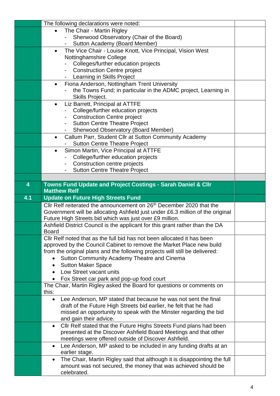|     | The following declarations were noted:                                                                                                  |  |
|-----|-----------------------------------------------------------------------------------------------------------------------------------------|--|
|     | The Chair - Martin Rigley                                                                                                               |  |
|     | Sherwood Observatory (Chair of the Board)                                                                                               |  |
|     | Sutton Academy (Board Member)                                                                                                           |  |
|     | The Vice Chair - Louise Knott, Vice Principal, Vision West<br>$\bullet$                                                                 |  |
|     | Nottinghamshire College                                                                                                                 |  |
|     | Colleges/further education projects                                                                                                     |  |
|     | <b>Construction Centre project</b>                                                                                                      |  |
|     | Learning in Skills Project                                                                                                              |  |
|     | Fiona Anderson, Nottingham Trent University<br>$\bullet$                                                                                |  |
|     | the Towns Fund; in particular in the ADMC project, Learning in                                                                          |  |
|     | Skills Project.                                                                                                                         |  |
|     | Liz Barrett, Principal at ATTFE<br>$\bullet$                                                                                            |  |
|     | College/further education projects                                                                                                      |  |
|     | <b>Construction Centre project</b>                                                                                                      |  |
|     | <b>Sutton Centre Theatre Project</b>                                                                                                    |  |
|     | <b>Sherwood Observatory (Board Member)</b>                                                                                              |  |
|     | Callum Parr, Student Cllr at Sutton Community Academy<br>$\bullet$                                                                      |  |
|     | <b>Sutton Centre Theatre Project</b>                                                                                                    |  |
|     | Simon Martin, Vice Principal at ATTFE<br>$\bullet$                                                                                      |  |
|     | College/further education projects                                                                                                      |  |
|     | Construction centre projects                                                                                                            |  |
|     | <b>Sutton Centre Theatre Project</b>                                                                                                    |  |
|     |                                                                                                                                         |  |
| 4   | <b>Towns Fund Update and Project Costings - Sarah Daniel &amp; Cllr</b>                                                                 |  |
|     | <b>Matthew Relf</b>                                                                                                                     |  |
| 4.1 | <b>Update on Future High Streets Fund</b>                                                                                               |  |
|     |                                                                                                                                         |  |
|     | Cllr Relf reiterated the announcement on 26 <sup>th</sup> December 2020 that the                                                        |  |
|     | Government will be allocating Ashfield just under £6.3 million of the original                                                          |  |
|     |                                                                                                                                         |  |
|     | Future High Streets bid which was just over £9 million.<br>Ashfield District Council is the applicant for this grant rather than the DA |  |
|     | <b>Board</b>                                                                                                                            |  |
|     | Cllr Relf noted that as the full bid has not been allocated it has been                                                                 |  |
|     | approved by the Council Cabinet to remove the Market Place new build                                                                    |  |
|     | from the original plans and the following projects will still be delivered:                                                             |  |
|     | Sutton Community Academy Theatre and Cinema                                                                                             |  |
|     | <b>Sutton Maker Space</b><br>٠                                                                                                          |  |
|     | Low Street vacant units<br>$\bullet$                                                                                                    |  |
|     |                                                                                                                                         |  |
|     | Fox Street car park and pop-up food court<br>The Chair, Martin Rigley asked the Board for questions or comments on                      |  |
|     | this:                                                                                                                                   |  |
|     | Lee Anderson, MP stated that because he was not sent the final<br>$\bullet$                                                             |  |
|     | draft of the Future High Streets bid earlier, he felt that he had                                                                       |  |
|     | missed an opportunity to speak with the Minster regarding the bid                                                                       |  |
|     | and gain their advice.                                                                                                                  |  |
|     | Cllr Relf stated that the Future Highs Streets Fund plans had been<br>$\bullet$                                                         |  |
|     | presented at the Discover Ashfield Board Meetings and that other                                                                        |  |
|     | meetings were offered outside of Discover Ashfield.                                                                                     |  |
|     | Lee Anderson, MP asked to be included in any funding drafts at an<br>$\bullet$                                                          |  |
|     | earlier stage.                                                                                                                          |  |
|     | The Chair, Martin Rigley said that although it is disappointing the full<br>$\bullet$                                                   |  |
|     | amount was not secured, the money that was achieved should be                                                                           |  |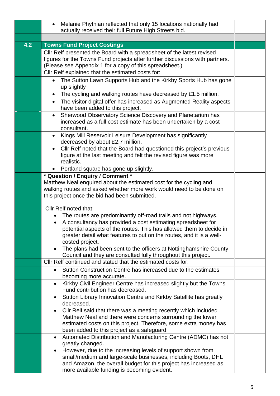|     | Melanie Phythian reflected that only 15 locations nationally had<br>$\bullet$<br>actually received their full Future High Streets bid.                                                                                                                               |  |  |
|-----|----------------------------------------------------------------------------------------------------------------------------------------------------------------------------------------------------------------------------------------------------------------------|--|--|
|     |                                                                                                                                                                                                                                                                      |  |  |
| 4.2 | <b>Towns Fund Project Costings</b>                                                                                                                                                                                                                                   |  |  |
|     | Cllr Relf presented the Board with a spreadsheet of the latest revised<br>figures for the Towns Fund projects after further discussions with partners.<br>(Please see Appendix 1 for a copy of this spreadsheet.)                                                    |  |  |
|     | Cllr Relf explained that the estimated costs for:                                                                                                                                                                                                                    |  |  |
|     | The Sutton Lawn Supports Hub and the Kirkby Sports Hub has gone<br>$\bullet$<br>up slightly                                                                                                                                                                          |  |  |
|     | The cycling and walking routes have decreased by £1.5 million.                                                                                                                                                                                                       |  |  |
|     | The visitor digital offer has increased as Augmented Reality aspects<br>$\bullet$<br>have been added to this project.                                                                                                                                                |  |  |
|     | Sherwood Observatory Science Discovery and Planetarium has<br>$\bullet$<br>increased as a full cost estimate has been undertaken by a cost<br>consultant.                                                                                                            |  |  |
|     | Kings Mill Reservoir Leisure Development has significantly<br>$\bullet$<br>decreased by about £2.7 million.<br>Cllr Relf noted that the Board had questioned this project's previous<br>$\bullet$<br>figure at the last meeting and felt the revised figure was more |  |  |
|     | realistic.                                                                                                                                                                                                                                                           |  |  |
|     | Portland square has gone up slightly.<br>$\bullet$                                                                                                                                                                                                                   |  |  |
|     | * Question / Enquiry / Comment *<br>Matthew Neal enquired about the estimated cost for the cycling and<br>walking routes and asked whether more work would need to be done on<br>this project once the bid had been submitted.                                       |  |  |
|     | Cllr Relf noted that:                                                                                                                                                                                                                                                |  |  |
|     | The routes are predominantly off-road trails and not highways.                                                                                                                                                                                                       |  |  |
|     | A consultancy has provided a cost estimating spreadsheet for<br>$\bullet$<br>potential aspects of the routes. This has allowed them to decide in<br>greater detail what features to put on the routes, and it is a well-                                             |  |  |
|     | costed project.                                                                                                                                                                                                                                                      |  |  |
|     | The plans had been sent to the officers at Nottinghamshire County<br>Council and they are consulted fully throughout this project.                                                                                                                                   |  |  |
|     | Cllr Relf continued and stated that the estimated costs for:                                                                                                                                                                                                         |  |  |
|     | Sutton Construction Centre has increased due to the estimates<br>becoming more accurate.                                                                                                                                                                             |  |  |
|     | Kirkby Civil Engineer Centre has increased slightly but the Towns<br>Fund contribution has decreased.                                                                                                                                                                |  |  |
|     | Sutton Library Innovation Centre and Kirkby Satellite has greatly<br>decreased.                                                                                                                                                                                      |  |  |
|     | Cllr Relf said that there was a meeting recently which included                                                                                                                                                                                                      |  |  |
|     | Matthew Neal and there were concerns surrounding the lower                                                                                                                                                                                                           |  |  |
|     | estimated costs on this project. Therefore, some extra money has<br>been added to this project as a safeguard.                                                                                                                                                       |  |  |
|     | Automated Distribution and Manufacturing Centre (ADMC) has not                                                                                                                                                                                                       |  |  |
|     | greatly changed.                                                                                                                                                                                                                                                     |  |  |
|     | However, due to the increasing levels of support shown from<br>small/medium and large-scale businesses, including Boots, DHL                                                                                                                                         |  |  |
|     | and Amazon, the overall budget for this project has increased as<br>more available funding is becoming evident.                                                                                                                                                      |  |  |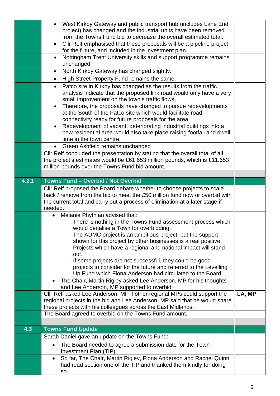|       | West Kirkby Gateway and public transport hub (includes Lane End                                                                                     |        |
|-------|-----------------------------------------------------------------------------------------------------------------------------------------------------|--------|
|       | project) has changed and the industrial units have been removed<br>from the Towns Fund bid to decrease the overall estimated total.                 |        |
|       | Cllr Relf emphasised that these proposals will be a pipeline project<br>$\bullet$                                                                   |        |
|       | for the future, and included in the investment plan.                                                                                                |        |
|       | Nottingham Trent University skills and support programme remains<br>$\bullet$<br>unchanged.                                                         |        |
|       | North Kirkby Gateway has changed slightly.<br>$\bullet$                                                                                             |        |
|       | High Street Property Fund remains the same.<br>$\bullet$                                                                                            |        |
|       | Patco site in Kirkby has changed as the results from the traffic<br>$\bullet$                                                                       |        |
|       | analysis indicate that the proposed link road would only have a very                                                                                |        |
|       | small improvement on the town's traffic flows.                                                                                                      |        |
|       | Therefore, the proposals have changed to pursue redevelopments<br>$\bullet$                                                                         |        |
|       | at the South of the Patco site which would facilitate road<br>connectivity ready for future proposals for the area.                                 |        |
|       | Redevelopment of vacant, deteriorating industrial buildings into a<br>$\bullet$                                                                     |        |
|       | new residential area would also take place raising footfall and dwell                                                                               |        |
|       | time in the town centre.                                                                                                                            |        |
|       | • Green Ashfield remains unchanged                                                                                                                  |        |
|       | Cllr Relf concluded the presentation by stating that the overall total of all                                                                       |        |
|       | the project's estimates would be £61.653 million pounds, which is £11.653<br>million pounds over the Towns Fund bid amount.                         |        |
|       |                                                                                                                                                     |        |
| 4.2.1 | <b>Towns Fund - Overbid / Not Overbid</b>                                                                                                           |        |
|       | Cllr Relf proposed the Board debate whether to choose projects to scale                                                                             |        |
|       | back / remove from the bid to meet the £50 million fund now or overbid with                                                                         |        |
|       | the current total and carry out a process of elimination at a later stage if                                                                        |        |
|       | needed.                                                                                                                                             |        |
|       | Melanie Phythian advised that:<br>$\bullet$<br>There is nothing in the Towns Fund assessment process which                                          |        |
|       | would penalise a Town for overbidding.                                                                                                              |        |
|       | The ADMC project is an ambitious project, but the support                                                                                           |        |
|       | shown for this project by other businesses is a real positive.                                                                                      |        |
|       | Projects which have a regional and national impact will stand<br>out.                                                                               |        |
|       | If some projects are not successful, they could be good                                                                                             |        |
|       | projects to consider for the future and referred to the Levelling                                                                                   |        |
|       | Up Fund which Fiona Anderson had circulated to the Board.                                                                                           |        |
|       | The Chair, Martin Rigley asked Lee Anderson, MP for his thoughts                                                                                    |        |
|       | and Lee Anderson, MP supported to overbid.<br>Cllr Relf asked Lee Anderson, MP if other regional MPs could support the                              | LA, MP |
|       | regional projects in the bid and Lee Anderson, MP said that he would share                                                                          |        |
|       | these projects with his colleagues across the East Midlands.                                                                                        |        |
|       | The Board agreed to overbid on the Towns Fund amount.                                                                                               |        |
|       |                                                                                                                                                     |        |
| 4.3   | <b>Towns Fund Update</b>                                                                                                                            |        |
|       | Sarah Daniel gave an update on the Towns Fund:                                                                                                      |        |
|       | The Board needed to agree a submission date for the Town<br>$\bullet$                                                                               |        |
|       | Investment Plan (TIP).                                                                                                                              |        |
|       | So far, The Chair, Martin Rigley, Fiona Anderson and Rachel Quinn<br>$\bullet$<br>had read section one of the TIP and thanked them kindly for doing |        |
|       | SO.                                                                                                                                                 |        |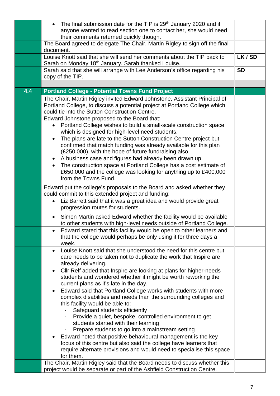|     | The final submission date for the TIP is 29 <sup>th</sup> January 2020 and if<br>$\bullet$                                                       |           |
|-----|--------------------------------------------------------------------------------------------------------------------------------------------------|-----------|
|     | anyone wanted to read section one to contact her, she would need                                                                                 |           |
|     | their comments returned quickly though.                                                                                                          |           |
|     | The Board agreed to delegate The Chair, Martin Rigley to sign off the final                                                                      |           |
|     | document.<br>Louise Knott said that she will send her comments about the TIP back to                                                             | LK/SD     |
|     | Sarah on Monday 18 <sup>th</sup> January. Sarah thanked Louise.                                                                                  |           |
|     | Sarah said that she will arrange with Lee Anderson's office regarding his                                                                        | <b>SD</b> |
|     | copy of the TIP.                                                                                                                                 |           |
|     |                                                                                                                                                  |           |
| 4.4 | <b>Portland College - Potential Towns Fund Project</b>                                                                                           |           |
|     | The Chair, Martin Rigley invited Edward Johnstone, Assistant Principal of                                                                        |           |
|     | Portland College, to discuss a potential project at Portland College which                                                                       |           |
|     | could tie into the Sutton Construction Centre.                                                                                                   |           |
|     | Edward Johnstone proposed to the Board that:                                                                                                     |           |
|     | Portland College wishes to build a small-scale construction space                                                                                |           |
|     | which is designed for high-level need students.                                                                                                  |           |
|     | The plans are late to the Sutton Construction Centre project but<br>$\bullet$                                                                    |           |
|     | confirmed that match funding was already available for this plan                                                                                 |           |
|     | (£250,000), with the hope of future fundraising also.<br>A business case and figures had already been drawn up.                                  |           |
|     | $\bullet$<br>The construction space at Portland College has a cost estimate of<br>$\bullet$                                                      |           |
|     | £650,000 and the college was looking for anything up to £400,000                                                                                 |           |
|     | from the Towns Fund.                                                                                                                             |           |
|     | Edward put the college's proposals to the Board and asked whether they                                                                           |           |
|     | could commit to this extended project and funding:                                                                                               |           |
|     | Liz Barrett said that it was a great idea and would provide great<br>$\bullet$                                                                   |           |
|     | progression routes for students.                                                                                                                 |           |
|     | Simon Martin asked Edward whether the facility would be available<br>$\bullet$                                                                   |           |
|     | to other students with high-level needs outside of Portland College.                                                                             |           |
|     | Edward stated that this facility would be open to other learners and<br>$\bullet$                                                                |           |
|     | that the college would perhaps be only using it for three days a                                                                                 |           |
|     | week.                                                                                                                                            |           |
|     | Louise Knott said that she understood the need for this centre but<br>$\bullet$                                                                  |           |
|     | care needs to be taken not to duplicate the work that Inspire are                                                                                |           |
|     | already delivering.                                                                                                                              |           |
|     | Cllr Relf added that Inspire are looking at plans for higher-needs<br>$\bullet$<br>students and wondered whether it might be worth reworking the |           |
|     | current plans as it's late in the day.                                                                                                           |           |
|     | Edward said that Portland College works with students with more<br>$\bullet$                                                                     |           |
|     | complex disabilities and needs than the surrounding colleges and                                                                                 |           |
|     | this facility would be able to:                                                                                                                  |           |
|     | Safeguard students efficiently                                                                                                                   |           |
|     | Provide a quiet, bespoke, controlled environment to get                                                                                          |           |
|     | students started with their learning                                                                                                             |           |
|     | Prepare students to go into a mainstream setting                                                                                                 |           |
|     | Edward noted that positive behavioural management is the key<br>٠                                                                                |           |
|     | focus of this centre but also said the college have learners that<br>require alternate provisions and would need to specialise this space        |           |
|     | for them.                                                                                                                                        |           |
|     | The Chair, Martin Rigley said that the Board needs to discuss whether this                                                                       |           |
|     | project would be separate or part of the Ashfield Construction Centre.                                                                           |           |
|     |                                                                                                                                                  |           |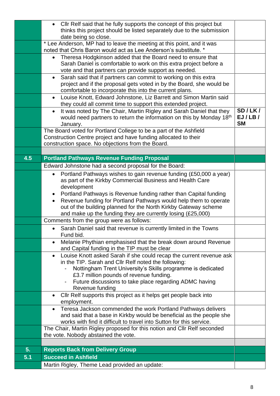|     | • Cllr Relf said that he fully supports the concept of this project but<br>thinks this project should be listed separately due to the submission<br>date being so close.                                        |                               |  |
|-----|-----------------------------------------------------------------------------------------------------------------------------------------------------------------------------------------------------------------|-------------------------------|--|
|     | * Lee Anderson, MP had to leave the meeting at this point, and it was<br>noted that Chris Baron would act as Lee Anderson's substitute. *                                                                       |                               |  |
|     | Theresa Hodgkinson added that the Board need to ensure that<br>Sarah Daniel is comfortable to work on this extra project before a<br>vote and that partners can provide support as needed.                      |                               |  |
|     | Sarah said that if partners can commit to working on this extra<br>$\bullet$<br>project and if the proposal gets voted in by the Board, she would be<br>comfortable to incorporate this into the current plans. |                               |  |
|     | Louise Knott, Edward Johnstone, Liz Barrett and Simon Martin said<br>$\bullet$<br>they could all commit time to support this extended project.                                                                  |                               |  |
|     | It was noted by The Chair, Martin Rigley and Sarah Daniel that they<br>$\bullet$<br>would need partners to return the information on this by Monday 18th<br>January.                                            | SD/LK/<br>EJ/LB/<br><b>SM</b> |  |
|     | The Board voted for Portland College to be a part of the Ashfield<br>Construction Centre project and have funding allocated to their<br>construction space. No objections from the Board.                       |                               |  |
|     |                                                                                                                                                                                                                 |                               |  |
| 4.5 | <b>Portland Pathways Revenue Funding Proposal</b>                                                                                                                                                               |                               |  |
|     | Edward Johnstone had a second proposal for the Board:<br>Portland Pathways wishes to gain revenue funding (£50,000 a year)<br>$\bullet$                                                                         |                               |  |
|     | as part of the Kirkby Commercial Business and Health Care                                                                                                                                                       |                               |  |
|     | development                                                                                                                                                                                                     |                               |  |
|     | Portland Pathways is Revenue funding rather than Capital funding<br>$\bullet$<br>Revenue funding for Portland Pathways would help them to operate<br>٠                                                          |                               |  |
|     | out of the building planned for the North Kirkby Gateway scheme                                                                                                                                                 |                               |  |
|     | and make up the funding they are currently losing $(E25,000)$                                                                                                                                                   |                               |  |
|     | Comments from the group were as follows:                                                                                                                                                                        |                               |  |
|     | Sarah Daniel said that revenue is currently limited in the Towns<br>Fund bid.                                                                                                                                   |                               |  |
|     | Melanie Phythian emphasised that the break down around Revenue<br>$\bullet$<br>and Capital funding in the TIP must be clear                                                                                     |                               |  |
|     | Louise Knott asked Sarah if she could recap the current revenue ask<br>$\bullet$<br>in the TIP. Sarah and CIIr Relf noted the following:                                                                        |                               |  |
|     | Nottingham Trent University's Skills programme is dedicated                                                                                                                                                     |                               |  |
|     | £3.7 million pounds of revenue funding.                                                                                                                                                                         |                               |  |
|     | Future discussions to take place regarding ADMC having<br>٠<br>Revenue funding                                                                                                                                  |                               |  |
|     | Cllr Relf supports this project as it helps get people back into<br>$\bullet$                                                                                                                                   |                               |  |
|     | employment.                                                                                                                                                                                                     |                               |  |
|     | Teresa Jackson commended the work Portland Pathways delivers<br>$\bullet$                                                                                                                                       |                               |  |
|     | and said that a base in Kirkby would be beneficial as the people she<br>works with find it difficult to travel into Sutton for this service.                                                                    |                               |  |
|     | The Chair, Martin Rigley proposed for this notion and Cllr Relf seconded                                                                                                                                        |                               |  |
|     | the vote. Nobody abstained the vote.                                                                                                                                                                            |                               |  |
| 5.  | <b>Reports Back from Delivery Group</b>                                                                                                                                                                         |                               |  |
| 5.1 | <b>Succeed in Ashfield</b>                                                                                                                                                                                      |                               |  |
|     | Martin Rigley, Theme Lead provided an update:                                                                                                                                                                   |                               |  |
|     |                                                                                                                                                                                                                 |                               |  |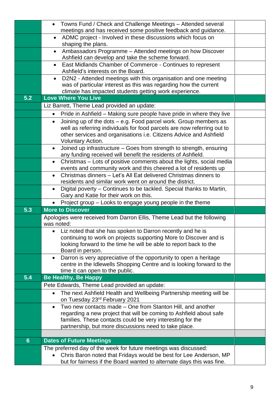|                | • Towns Fund / Check and Challenge Meetings - Attended several<br>meetings and has received some positive feedback and guidance.                        |  |
|----------------|---------------------------------------------------------------------------------------------------------------------------------------------------------|--|
|                | ADMC project - Involved in these discussions which focus on<br>$\bullet$                                                                                |  |
|                | shaping the plans.                                                                                                                                      |  |
|                | Ambassadors Programme - Attended meetings on how Discover<br>Ashfield can develop and take the scheme forward.                                          |  |
|                | East Midlands Chamber of Commerce - Continues to represent<br>Ashfield's interests on the Board.                                                        |  |
|                | D2N2 - Attended meetings with this organisation and one meeting                                                                                         |  |
|                | was of particular interest as this was regarding how the current                                                                                        |  |
| 5.2            | climate has impacted students getting work experience.<br>Love Where You Live                                                                           |  |
|                |                                                                                                                                                         |  |
|                | Liz Barrett, Theme Lead provided an update:                                                                                                             |  |
|                | Pride in Ashfield - Making sure people have pride in where they live<br>$\bullet$                                                                       |  |
|                | Joining up of the dots – e.g. Food parcel work. Group members as<br>$\bullet$                                                                           |  |
|                | well as referring individuals for food parcels are now referring out to<br>other services and organisations i.e. Citizens Advice and Ashfield           |  |
|                | <b>Voluntary Action.</b>                                                                                                                                |  |
|                | Joined up infrastructure - Goes from strength to strength, ensuring<br>$\bullet$                                                                        |  |
|                | any funding received will benefit the residents of Ashfield.                                                                                            |  |
|                | Christmas – Lots of positive comments about the lights, social media<br>$\bullet$                                                                       |  |
|                | events and community work and this cheered a lot of residents up                                                                                        |  |
|                | Christmas dinners - Let's All Eat delivered Christmas dinners to<br>$\bullet$<br>residents and similar work went on around the district.                |  |
|                | Digital poverty - Continues to be tackled. Special thanks to Martin,                                                                                    |  |
|                | Gary and Katie for their work on this.                                                                                                                  |  |
|                |                                                                                                                                                         |  |
|                |                                                                                                                                                         |  |
| 5.3            | Project group - Looks to engage young people in the theme<br><b>More to Discover</b>                                                                    |  |
|                |                                                                                                                                                         |  |
|                | Apologies were received from Darron Ellis, Theme Lead but the following<br>was noted:                                                                   |  |
|                | Liz noted that she has spoken to Darron recently and he is                                                                                              |  |
|                | continuing to work on projects supporting More to Discover and is                                                                                       |  |
|                | looking forward to the time he will be able to report back to the                                                                                       |  |
|                | Board in person.                                                                                                                                        |  |
|                | Darron is very appreciative of the opportunity to open a heritage<br>$\bullet$<br>centre in the Idlewells Shopping Centre and is looking forward to the |  |
|                | time it can open to the public.                                                                                                                         |  |
| 5.4            | <b>Be Healthy, Be Happy</b>                                                                                                                             |  |
|                | Pete Edwards, Theme Lead provided an update:                                                                                                            |  |
|                | The next Ashfield Health and Wellbeing Partnership meeting will be<br>$\bullet$                                                                         |  |
|                | on Tuesday 23 <sup>rd</sup> February 2021                                                                                                               |  |
|                | Two new contacts made – One from Stanton Hill, and another<br>$\bullet$                                                                                 |  |
|                | regarding a new project that will be coming to Ashfield about safe<br>families. These contacts could be very interesting for the                        |  |
|                | partnership, but more discussions need to take place.                                                                                                   |  |
|                |                                                                                                                                                         |  |
| $6\phantom{1}$ | <b>Dates of Future Meetings</b>                                                                                                                         |  |
|                | The preferred day of the week for future meetings was discussed:<br>Chris Baron noted that Fridays would be best for Lee Anderson, MP                   |  |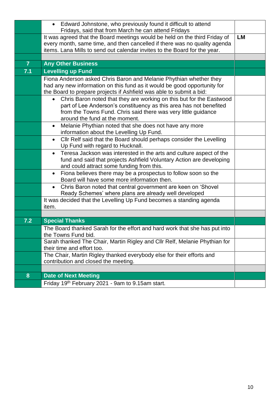|                | Edward Johnstone, who previously found it difficult to attend<br>$\bullet$<br>Fridays, said that from March he can attend Fridays                                                                                                                           |    |
|----------------|-------------------------------------------------------------------------------------------------------------------------------------------------------------------------------------------------------------------------------------------------------------|----|
|                | It was agreed that the Board meetings would be held on the third Friday of<br>every month, same time, and then cancelled if there was no quality agenda<br>items. Lana Mills to send out calendar invites to the Board for the year.                        | LM |
|                |                                                                                                                                                                                                                                                             |    |
| $\overline{7}$ | <b>Any Other Business</b>                                                                                                                                                                                                                                   |    |
| 7.1            | <b>Levelling up Fund</b>                                                                                                                                                                                                                                    |    |
|                | Fiona Anderson asked Chris Baron and Melanie Phythian whether they<br>had any new information on this fund as it would be good opportunity for<br>the Board to prepare projects if Ashfield was able to submit a bid:                                       |    |
|                | Chris Baron noted that they are working on this but for the Eastwood<br>$\bullet$<br>part of Lee Anderson's constituency as this area has not benefited<br>from the Towns Fund. Chris said there was very little guidance<br>around the fund at the moment. |    |
|                | Melanie Phythian noted that she does not have any more<br>$\bullet$<br>information about the Levelling Up Fund.                                                                                                                                             |    |
|                | Cllr Relf said that the Board should perhaps consider the Levelling<br>$\bullet$<br>Up Fund with regard to Hucknall.                                                                                                                                        |    |
|                | Teresa Jackson was interested in the arts and culture aspect of the<br>$\bullet$<br>fund and said that projects Ashfield Voluntary Action are developing<br>and could attract some funding from this.                                                       |    |
|                | Fiona believes there may be a prospectus to follow soon so the<br>$\bullet$<br>Board will have some more information then.                                                                                                                                  |    |
|                | Chris Baron noted that central government are keen on 'Shovel<br>$\bullet$<br>Ready Schemes' where plans are already well developed                                                                                                                         |    |
|                | It was decided that the Levelling Up Fund becomes a standing agenda<br>item.                                                                                                                                                                                |    |
|                |                                                                                                                                                                                                                                                             |    |
| 7.2            | <b>Special Thanks</b>                                                                                                                                                                                                                                       |    |
|                | The Board thanked Sarah for the effort and hard work that she has put into<br>the Towns Fund bid.                                                                                                                                                           |    |
|                | Sarah thanked The Chair, Martin Rigley and Cllr Relf, Melanie Phythian for<br>their time and effort too.                                                                                                                                                    |    |
|                | The Chair, Martin Rigley thanked everybody else for their efforts and<br>contribution and closed the meeting.                                                                                                                                               |    |
|                |                                                                                                                                                                                                                                                             |    |
| 8              | <b>Date of Next Meeting</b>                                                                                                                                                                                                                                 |    |
|                | Friday 19th February 2021 - 9am to 9.15am start.                                                                                                                                                                                                            |    |